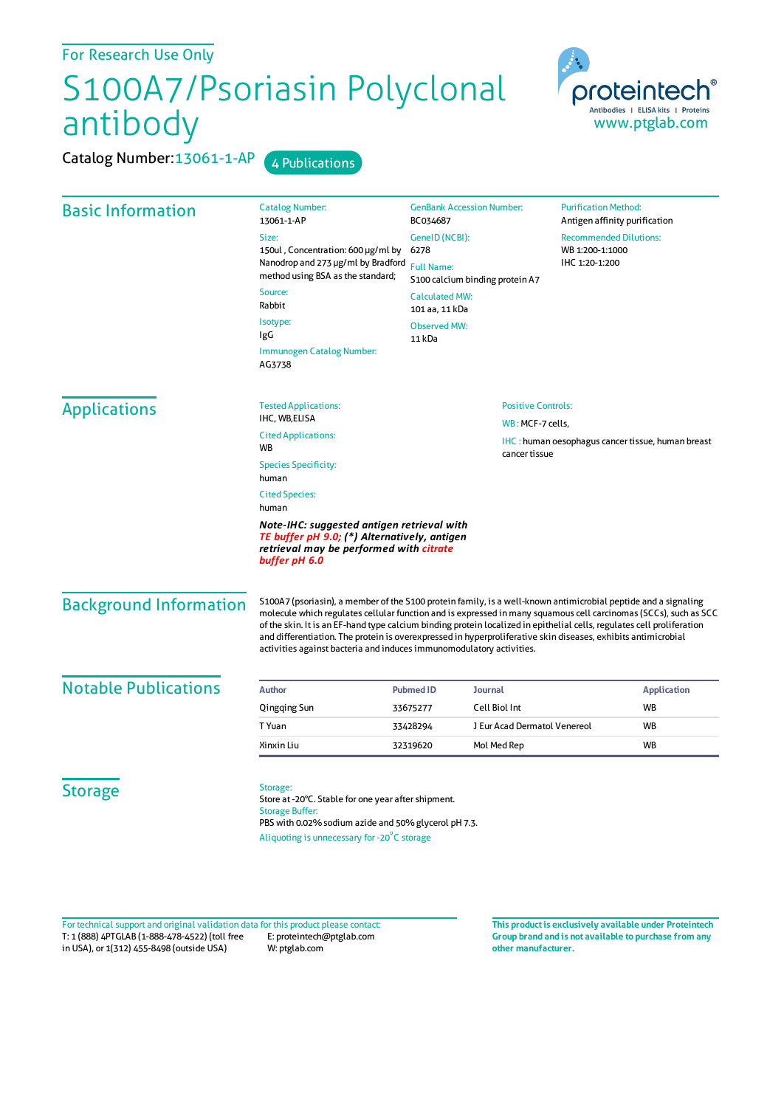## S100A7/Psoriasin Polyclonal antibody

Catalog Number: 13061-1-AP 4 Publications



| <b>Basic Information</b>      | <b>Catalog Number:</b><br>13061-1-AP                                                                                                                                                                                                                                                                                                                                                                                                                                                                                                                  | <b>GenBank Accession Number:</b><br>BC034687         |                              | <b>Purification Method:</b><br>Antigen affinity purification       |  |
|-------------------------------|-------------------------------------------------------------------------------------------------------------------------------------------------------------------------------------------------------------------------------------------------------------------------------------------------------------------------------------------------------------------------------------------------------------------------------------------------------------------------------------------------------------------------------------------------------|------------------------------------------------------|------------------------------|--------------------------------------------------------------------|--|
|                               | Size:                                                                                                                                                                                                                                                                                                                                                                                                                                                                                                                                                 | GenelD (NCBI):                                       |                              | <b>Recommended Dilutions:</b><br>WB 1:200-1:1000<br>IHC 1:20-1:200 |  |
|                               | 150ul, Concentration: 600 µg/ml by<br>Nanodrop and 273 µg/ml by Bradford<br>method using BSA as the standard;                                                                                                                                                                                                                                                                                                                                                                                                                                         | 6278                                                 |                              |                                                                    |  |
|                               |                                                                                                                                                                                                                                                                                                                                                                                                                                                                                                                                                       | <b>Full Name:</b><br>S100 calcium binding protein A7 |                              |                                                                    |  |
|                               | Source:<br>Rabbit                                                                                                                                                                                                                                                                                                                                                                                                                                                                                                                                     | <b>Calculated MW:</b><br>101 aa, 11 kDa              |                              |                                                                    |  |
|                               | Isotype:<br>IgG                                                                                                                                                                                                                                                                                                                                                                                                                                                                                                                                       | <b>Observed MW:</b><br>11 kDa                        |                              |                                                                    |  |
|                               | Immunogen Catalog Number:<br>AG3738                                                                                                                                                                                                                                                                                                                                                                                                                                                                                                                   |                                                      |                              |                                                                    |  |
| <b>Applications</b>           | <b>Tested Applications:</b>                                                                                                                                                                                                                                                                                                                                                                                                                                                                                                                           | <b>Positive Controls:</b>                            |                              |                                                                    |  |
|                               | IHC, WB,ELISA                                                                                                                                                                                                                                                                                                                                                                                                                                                                                                                                         |                                                      | WB: MCF-7 cells,             |                                                                    |  |
|                               | <b>Cited Applications:</b><br>WB                                                                                                                                                                                                                                                                                                                                                                                                                                                                                                                      |                                                      | cancer tissue                | <b>IHC</b> : human oesophagus cancer tissue, human breast          |  |
|                               | <b>Species Specificity:</b><br>human                                                                                                                                                                                                                                                                                                                                                                                                                                                                                                                  |                                                      |                              |                                                                    |  |
|                               | <b>Cited Species:</b><br>human                                                                                                                                                                                                                                                                                                                                                                                                                                                                                                                        |                                                      |                              |                                                                    |  |
|                               | Note-IHC: suggested antigen retrieval with<br>TE buffer pH 9.0; (*) Alternatively, antigen<br>retrieval may be performed with citrate<br>buffer pH 6.0                                                                                                                                                                                                                                                                                                                                                                                                |                                                      |                              |                                                                    |  |
| <b>Background Information</b> | S100A7 (psoriasin), a member of the S100 protein family, is a well-known antimicrobial peptide and a signaling<br>molecule which regulates cellular function and is expressed in many squamous cell carcinomas (SCCs), such as SCC<br>of the skin. It is an EF-hand type calcium binding protein localized in epithelial cells, regulates cell proliferation<br>and differentiation. The protein is overexpressed in hyperproliferative skin diseases, exhibits antimicrobial<br>activities against bacteria and induces immunomodulatory activities. |                                                      |                              |                                                                    |  |
| <b>Notable Publications</b>   | <b>Author</b>                                                                                                                                                                                                                                                                                                                                                                                                                                                                                                                                         | <b>Pubmed ID</b><br>Journal                          |                              | <b>Application</b>                                                 |  |
|                               | Qingqing Sun                                                                                                                                                                                                                                                                                                                                                                                                                                                                                                                                          | Cell Biol Int<br>33675277                            |                              | WB                                                                 |  |
|                               | T Yuan                                                                                                                                                                                                                                                                                                                                                                                                                                                                                                                                                | 33428294                                             | J Eur Acad Dermatol Venereol | <b>WB</b>                                                          |  |
|                               | Xinxin Liu                                                                                                                                                                                                                                                                                                                                                                                                                                                                                                                                            | Mol Med Rep<br>32319620                              |                              | <b>WB</b>                                                          |  |
| <b>Storage</b>                | Storage:<br>Store at -20°C. Stable for one year after shipment.<br><b>Storage Buffer:</b><br>PBS with 0.02% sodium azide and 50% glycerol pH 7.3.<br>Aliquoting is unnecessary for -20°C storage                                                                                                                                                                                                                                                                                                                                                      |                                                      |                              |                                                                    |  |

T: 1 (888) 4PTGLAB (1-888-478-4522) (toll free in USA), or 1(312) 455-8498 (outside USA) E: proteintech@ptglab.com W: ptglab.com Fortechnical support and original validation data forthis product please contact: **This productis exclusively available under Proteintech**

**Group brand and is not available to purchase from any other manufacturer.**